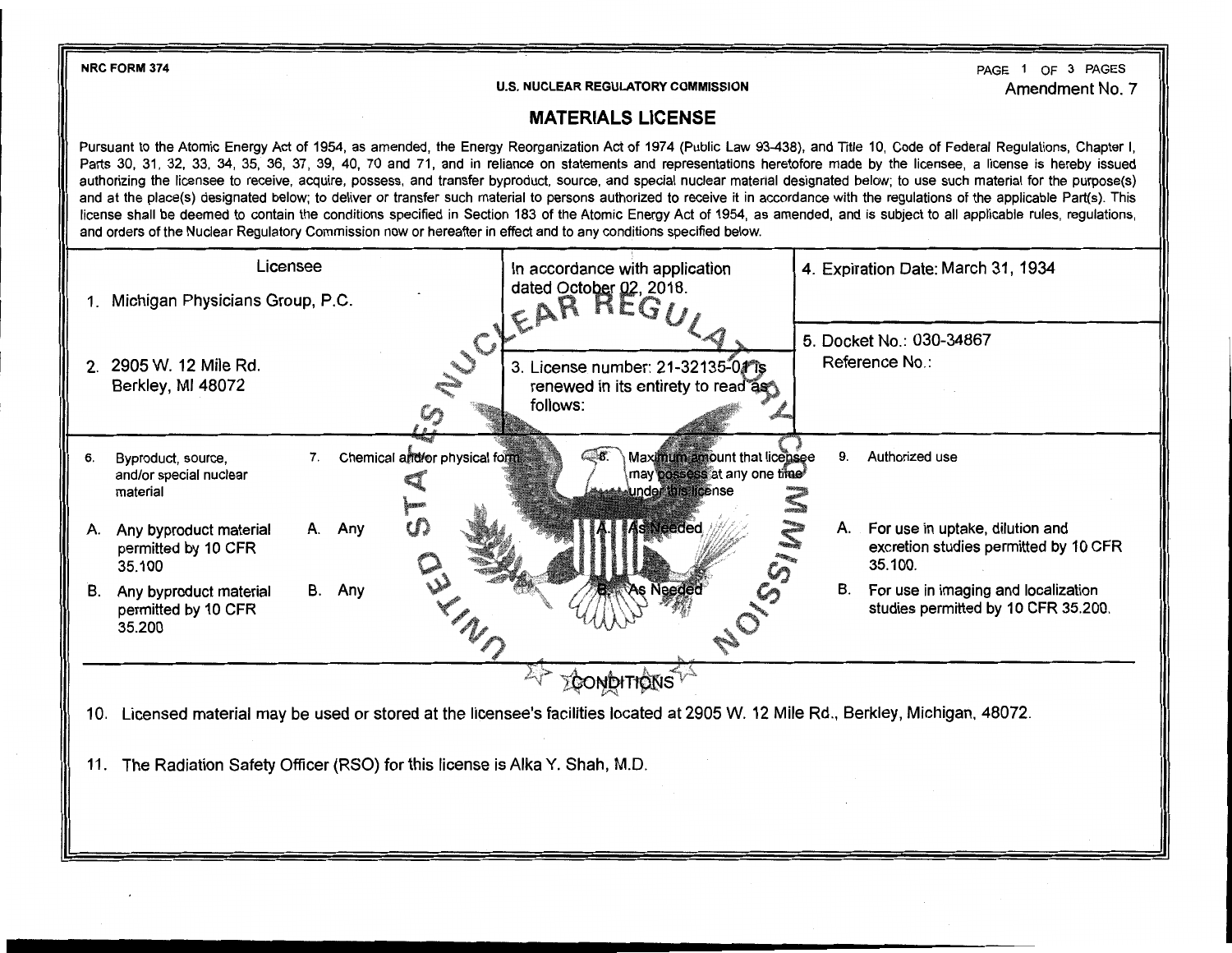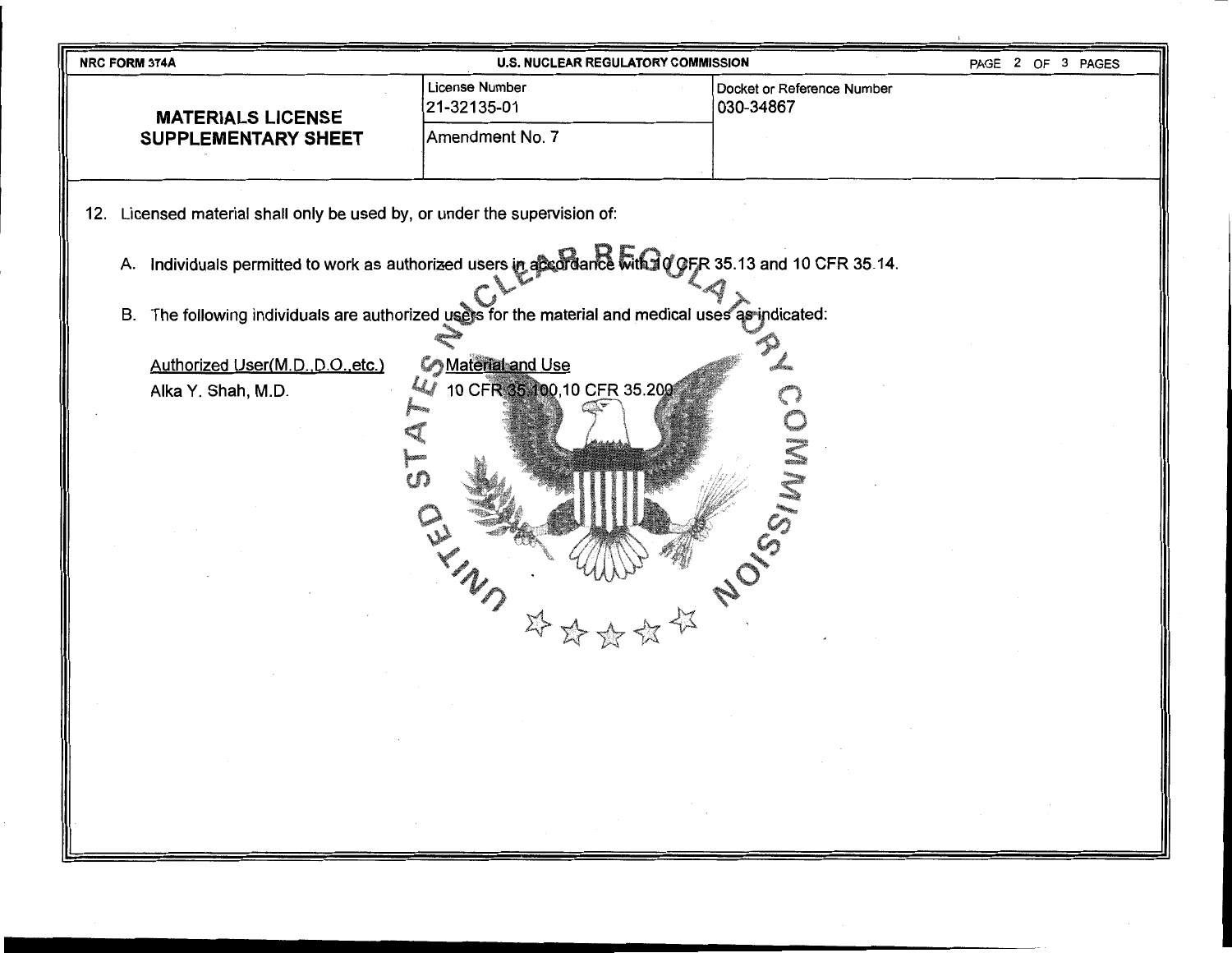| NRC FORM 374A                                                                                                               | <b>U.S. NUCLEAR REGULATORY COMMISSION</b> |                                         | PAGE 2 OF 3 PAGES |  |
|-----------------------------------------------------------------------------------------------------------------------------|-------------------------------------------|-----------------------------------------|-------------------|--|
| <b>MATERIALS LICENSE</b><br><b>SUPPLEMENTARY SHEET</b>                                                                      | License Number<br>21-32135-01             | Docket or Reference Number<br>030-34867 |                   |  |
|                                                                                                                             | Amendment No. 7                           |                                         |                   |  |
| 12. Licensed material shall only be used by, or under the supervision of:                                                   |                                           |                                         |                   |  |
| A. Individuals permitted to work as authorized users in accordance with 10 GFR 35.13 and 10 CFR 35.14.                      |                                           |                                         |                   |  |
| B. The following individuals are authorized users for the material and medical uses as indicated:                           |                                           |                                         |                   |  |
| <b>Co</b> Material and Use<br>Authorized User(M.D., D.O., etc.)<br>10 CFR 35 100,10 CFR 35.200<br>Alka Y. Shah, M.D.<br>CË. |                                           |                                         |                   |  |
|                                                                                                                             | WILLIAM NOS<br>$\Sigma$                   |                                         |                   |  |
|                                                                                                                             | <b>Contractor</b>                         |                                         |                   |  |
|                                                                                                                             |                                           |                                         |                   |  |